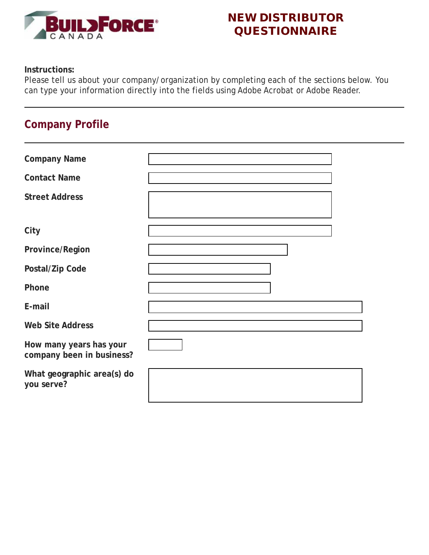

## NEW DISTRIBUTOR **QUESTIONNAIRE**

#### **Instructions:**

Please tell us about your company/organization by completing each of the sections below. You can type your information directly into the fields using Adobe Acrobat or Adobe Reader.

# **Company Profile**

| <b>Company Name</b>                                  |                      |  |
|------------------------------------------------------|----------------------|--|
| <b>Contact Name</b>                                  |                      |  |
| <b>Street Address</b>                                |                      |  |
|                                                      |                      |  |
| City                                                 |                      |  |
| Province/Region                                      | $\blacktriangledown$ |  |
| Postal/Zip Code                                      |                      |  |
| Phone                                                |                      |  |
| E-mail                                               |                      |  |
| <b>Web Site Address</b>                              |                      |  |
| How many years has your<br>company been in business? |                      |  |
| What geographic area(s) do<br>you serve?             |                      |  |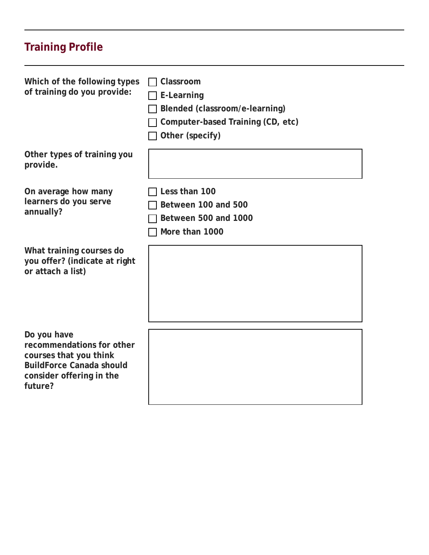# **Training Profile**

| Which of the following types<br>of training do you provide:                                                                                  | Classroom<br>E-Learning<br>Blended (classroom/e-learning)<br>Computer-based Training (CD, etc)<br>Other (specify) |
|----------------------------------------------------------------------------------------------------------------------------------------------|-------------------------------------------------------------------------------------------------------------------|
| Other types of training you<br>provide.                                                                                                      |                                                                                                                   |
| On average how many<br>learners do you serve<br>annually?                                                                                    | Less than 100<br>Between 100 and 500<br>Between 500 and 1000<br>More than 1000                                    |
| What training courses do<br>you offer? (indicate at right<br>or attach a list)                                                               |                                                                                                                   |
| Do you have<br>recommendations for other<br>courses that you think<br><b>BuildForce Canada should</b><br>consider offering in the<br>future? |                                                                                                                   |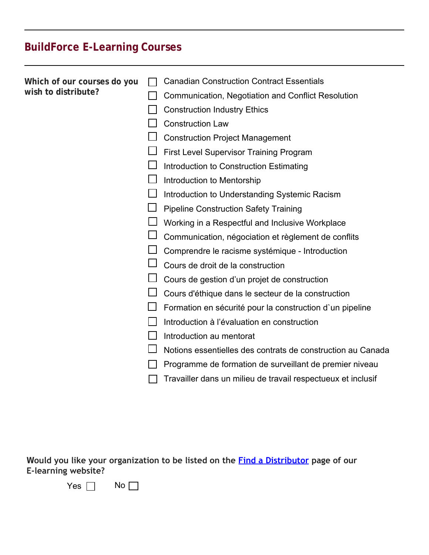# **BuildForce E-Learning Courses**

| Which of our courses do you<br>wish to distribute? | <b>Canadian Construction Contract Essentials</b>             |
|----------------------------------------------------|--------------------------------------------------------------|
|                                                    | <b>Communication, Negotiation and Conflict Resolution</b>    |
|                                                    | <b>Construction Industry Ethics</b>                          |
|                                                    | <b>Construction Law</b>                                      |
|                                                    | <b>Construction Project Management</b>                       |
|                                                    | <b>First Level Supervisor Training Program</b>               |
|                                                    | Introduction to Construction Estimating                      |
|                                                    | Introduction to Mentorship                                   |
|                                                    | Introduction to Understanding Systemic Racism                |
|                                                    | <b>Pipeline Construction Safety Training</b>                 |
|                                                    | Working in a Respectful and Inclusive Workplace              |
|                                                    | Communication, négociation et règlement de conflits          |
|                                                    | Comprendre le racisme systémique - Introduction              |
|                                                    | Cours de droit de la construction                            |
|                                                    | Cours de gestion d'un projet de construction                 |
|                                                    | Cours d'éthique dans le secteur de la construction           |
|                                                    | Formation en sécurité pour la construction d'un pipeline     |
|                                                    | Introduction à l'évaluation en construction                  |
|                                                    | Introduction au mentorat                                     |
|                                                    | Notions essentielles des contrats de construction au Canada  |
|                                                    | Programme de formation de surveillant de premier niveau      |
|                                                    | Travailler dans un milieu de travail respectueux et inclusif |
|                                                    |                                                              |

**Would you like your organization to be listed on the Find a Distributor page of our E-learning website?**

Yes  $\Box$  No  $\Box$